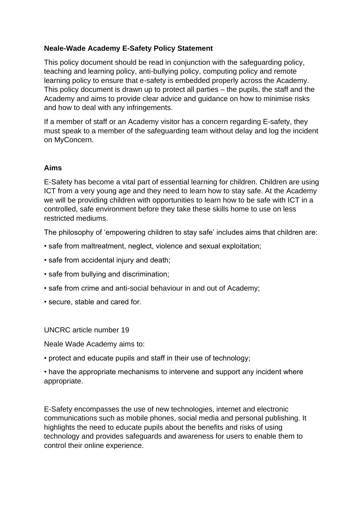# **Neale-Wade Academy E-Safety Policy Statement**

This policy document should be read in conjunction with the safeguarding policy, teaching and learning policy, anti-bullying policy, computing policy and remote learning policy to ensure that e-safety is embedded properly across the Academy. This policy document is drawn up to protect all parties – the pupils, the staff and the Academy and aims to provide clear advice and guidance on how to minimise risks and how to deal with any infringements.

If a member of staff or an Academy visitor has a concern regarding E-safety, they must speak to a member of the safeguarding team without delay and log the incident on MyConcern.

### **Aims**

E-Safety has become a vital part of essential learning for children. Children are using ICT from a very young age and they need to learn how to stay safe. At the Academy we will be providing children with opportunities to learn how to be safe with ICT in a controlled, safe environment before they take these skills home to use on less restricted mediums.

The philosophy of 'empowering children to stay safe' includes aims that children are:

- safe from maltreatment, neglect, violence and sexual exploitation;
- safe from accidental injury and death;
- safe from bullying and discrimination;
- safe from crime and anti-social behaviour in and out of Academy;
- secure, stable and cared for.

UNCRC article number 19

Neale Wade Academy aims to:

• protect and educate pupils and staff in their use of technology;

• have the appropriate mechanisms to intervene and support any incident where appropriate.

E-Safety encompasses the use of new technologies, internet and electronic communications such as mobile phones, social media and personal publishing. It highlights the need to educate pupils about the benefits and risks of using technology and provides safeguards and awareness for users to enable them to control their online experience.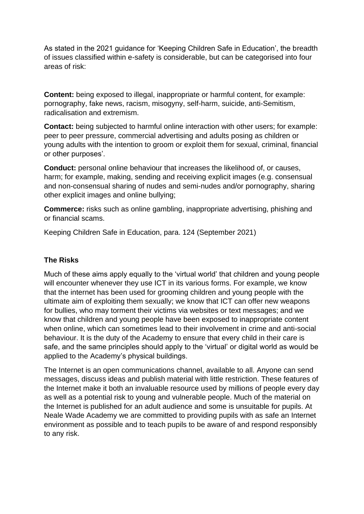As stated in the 2021 guidance for 'Keeping Children Safe in Education', the breadth of issues classified within e-safety is considerable, but can be categorised into four areas of risk:

**Content:** being exposed to illegal, inappropriate or harmful content, for example: pornography, fake news, racism, misogyny, self-harm, suicide, anti-Semitism, radicalisation and extremism.

**Contact:** being subjected to harmful online interaction with other users; for example: peer to peer pressure, commercial advertising and adults posing as children or young adults with the intention to groom or exploit them for sexual, criminal, financial or other purposes'.

**Conduct:** personal online behaviour that increases the likelihood of, or causes, harm; for example, making, sending and receiving explicit images (e.g. consensual and non-consensual sharing of nudes and semi-nudes and/or pornography, sharing other explicit images and online bullying;

**Commerce:** risks such as online gambling, inappropriate advertising, phishing and or financial scams.

Keeping Children Safe in Education, para. 124 (September 2021)

## **The Risks**

Much of these aims apply equally to the 'virtual world' that children and young people will encounter whenever they use ICT in its various forms. For example, we know that the internet has been used for grooming children and young people with the ultimate aim of exploiting them sexually; we know that ICT can offer new weapons for bullies, who may torment their victims via websites or text messages; and we know that children and young people have been exposed to inappropriate content when online, which can sometimes lead to their involvement in crime and anti-social behaviour. It is the duty of the Academy to ensure that every child in their care is safe, and the same principles should apply to the 'virtual' or digital world as would be applied to the Academy's physical buildings.

The Internet is an open communications channel, available to all. Anyone can send messages, discuss ideas and publish material with little restriction. These features of the Internet make it both an invaluable resource used by millions of people every day as well as a potential risk to young and vulnerable people. Much of the material on the Internet is published for an adult audience and some is unsuitable for pupils. At Neale Wade Academy we are committed to providing pupils with as safe an Internet environment as possible and to teach pupils to be aware of and respond responsibly to any risk.